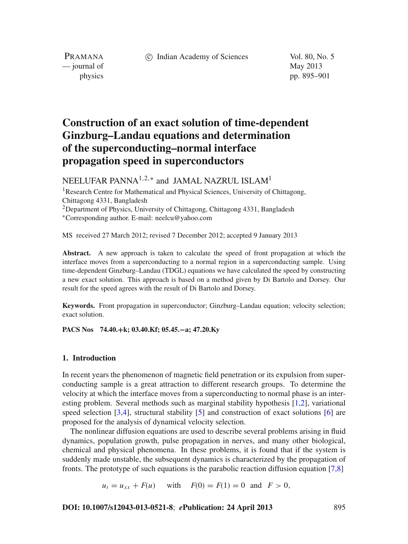c Indian Academy of Sciences Vol. 80, No. 5

PRAMANA — journal of May 2013

physics pp. 895–901

# **Construction of an exact solution of time-dependent Ginzburg–Landau equations and determination of the superconducting–normal interface propagation speed in superconductors**

NEELUFAR PANNA<sup>1,2,∗</sup> and JAMAL NAZRUL ISLAM<sup>1</sup>

<sup>1</sup>Research Centre for Mathematical and Physical Sciences, University of Chittagong, Chittagong 4331, Bangladesh <sup>2</sup>Department of Physics, University of Chittagong, Chittagong 4331, Bangladesh <sup>∗</sup>Corresponding author. E-mail: neelcu@yahoo.com

MS received 27 March 2012; revised 7 December 2012; accepted 9 January 2013

**Abstract.** A new approach is taken to calculate the speed of front propagation at which the interface moves from a superconducting to a normal region in a superconducting sample. Using time-dependent Ginzburg–Landau (TDGL) equations we have calculated the speed by constructing a new exact solution. This approach is based on a method given by Di Bartolo and Dorsey. Our result for the speed agrees with the result of Di Bartolo and Dorsey.

**Keywords.** Front propagation in superconductor; Ginzburg–Landau equation; velocity selection; exact solution.

**PACS Nos 74.40.+k; 03.40.Kf; 05.45.−a; 47.20.Ky**

#### **1. Introduction**

In recent years the phenomenon of magnetic field penetration or its expulsion from superconducting sample is a great attraction to different research groups. To determine the velocity at which the interface moves from a superconducting to normal phase is an interesting problem. Several methods such as marginal stability hypothesis [\[1](#page-6-0)[,2](#page-6-1)], variational speed selection [\[3](#page-6-2)[,4\]](#page-6-3), structural stability [\[5\]](#page-6-4) and construction of exact solutions [\[6](#page-6-5)] are proposed for the analysis of dynamical velocity selection.

The nonlinear diffusion equations are used to describe several problems arising in fluid dynamics, population growth, pulse propagation in nerves, and many other biological, chemical and physical phenomena. In these problems, it is found that if the system is suddenly made unstable, the subsequent dynamics is characterized by the propagation of fronts. The prototype of such equations is the parabolic reaction diffusion equation [\[7](#page-6-6)[,8](#page-6-7)]

 $u_t = u_{xx} + F(u)$  with  $F(0) = F(1) = 0$  and  $F > 0$ ,

**DOI: 10.1007/s12043-013-0521-8**; *e***Publication: 24 April 2013** 895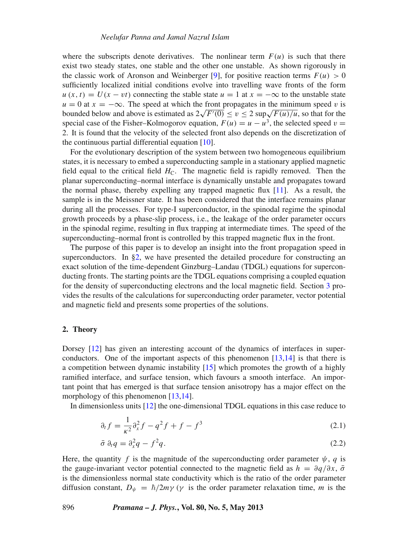where the subscripts denote derivatives. The nonlinear term  $F(u)$  is such that there exist two steady states, one stable and the other one unstable. As shown rigorously in the classic work of Aronson and Weinberger [\[9\]](#page-6-8), for positive reaction terms  $F(u) > 0$ sufficiently localized initial conditions evolve into travelling wave fronts of the form  $u(x, t) = U(x - vt)$  connecting the stable state  $u = 1$  at  $x = -\infty$  to the unstable state  $u = 0$  at  $x = -\infty$ . The speed at which the front propagates in the minimum speed v is bounded below and above is estimated as  $2\sqrt{F'(0)} \le v \le 2 \sup \sqrt{F(u)/u}$ , so that for the special case of the Fisher–Kolmogorov equation,  $F(u) = u - u^3$ , the selected speed  $v =$ 2. It is found that the velocity of the selected front also depends on the discretization of the continuous partial differential equation [\[10](#page-6-9)].

For the evolutionary description of the system between two homogeneous equilibrium states, it is necessary to embed a superconducting sample in a stationary applied magnetic field equal to the critical field  $H<sub>C</sub>$ . The magnetic field is rapidly removed. Then the planar superconducting–normal interface is dynamically unstable and propagates toward the normal phase, thereby expelling any trapped magnetic flux [\[11\]](#page-6-10). As a result, the sample is in the Meissner state. It has been considered that the interface remains planar during all the processes. For type-I superconductor, in the spinodal regime the spinodal growth proceeds by a phase-slip process, i.e., the leakage of the order parameter occurs in the spinodal regime, resulting in flux trapping at intermediate times. The speed of the superconducting–normal front is controlled by this trapped magnetic flux in the front.

The purpose of this paper is to develop an insight into the front propagation speed in superconductors. In  $\S$ 2, we have presented the detailed procedure for constructing an exact solution of the time-dependent Ginzburg–Landau (TDGL) equations for superconducting fronts. The starting points are the TDGL equations comprising a coupled equation for the density of superconducting electrons and the local magnetic field. Section [3](#page-5-0) provides the results of the calculations for superconducting order parameter, vector potential and magnetic field and presents some properties of the solutions.

## <span id="page-1-0"></span>**2. Theory**

Dorsey [\[12\]](#page-6-11) has given an interesting account of the dynamics of interfaces in superconductors. One of the important aspects of this phenomenon [\[13](#page-6-12)[,14\]](#page-6-13) is that there is a competition between dynamic instability [\[15\]](#page-6-14) which promotes the growth of a highly ramified interface, and surface tension, which favours a smooth interface. An important point that has emerged is that surface tension anisotropy has a major effect on the morphology of this phenomenon [\[13](#page-6-12)[,14\]](#page-6-13).

<span id="page-1-2"></span>In dimensionless units [\[12](#page-6-11)] the one-dimensional TDGL equations in this case reduce to

<span id="page-1-1"></span>
$$
\partial_t f = \frac{1}{\kappa^2} \partial_x^2 f - q^2 f + f - f^3 \tag{2.1}
$$

$$
\bar{\sigma} \partial_t q = \partial_x^2 q - f^2 q. \tag{2.2}
$$

Here, the quantity *f* is the magnitude of the superconducting order parameter  $\psi$ , *q* is the gauge-invariant vector potential connected to the magnetic field as  $h = \frac{\partial q}{\partial x}$ ,  $\bar{\sigma}$ is the dimensionless normal state conductivity which is the ratio of the order parameter diffusion constant,  $D_{\psi} = \hbar/2m\gamma$  ( $\gamma$  is the order parameter relaxation time, *m* is the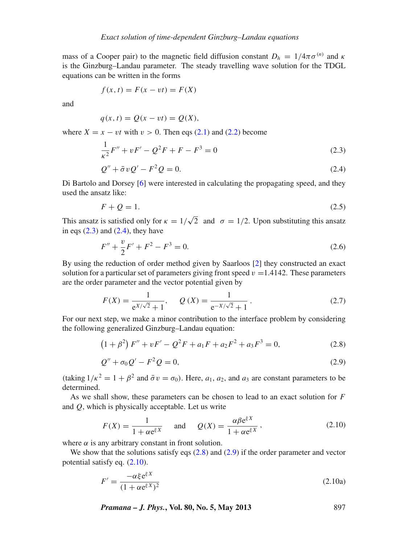mass of a Cooper pair) to the magnetic field diffusion constant  $D_h = 1/4\pi\sigma^{(n)}$  and  $\kappa$ is the Ginzburg–Landau parameter. The steady travelling wave solution for the TDGL equations can be written in the forms

$$
f(x, t) = F(x - vt) = F(X)
$$

and

<span id="page-2-0"></span>
$$
q(x, t) = Q(x - vt) = Q(X),
$$

<span id="page-2-1"></span>where  $X = x - vt$  with  $v > 0$ . Then eqs [\(2.1\)](#page-1-1) and [\(2.2\)](#page-1-2) become

$$
\frac{1}{\kappa^2}F'' + vF' - Q^2F + F - F^3 = 0
$$
\n(2.3)

$$
Q'' + \bar{\sigma}vQ' - F^2Q = 0. \tag{2.4}
$$

Di Bartolo and Dorsey [\[6\]](#page-6-5) were interested in calculating the propagating speed, and they used the ansatz like:

<span id="page-2-7"></span>
$$
F + Q = 1.\tag{2.5}
$$

This ansatz is satisfied only for  $\kappa = 1/\sqrt{2}$  and  $\sigma = 1/2$ . Upon substituting this ansatz in eqs  $(2.3)$  and  $(2.4)$ , they have

$$
F'' + \frac{v}{2}F' + F^2 - F^3 = 0.
$$
\n(2.6)

By using the reduction of order method given by Saarloos [\[2\]](#page-6-1) they constructed an exact solution for a particular set of parameters giving front speed  $v = 1.4142$ . These parameters are the order parameter and the vector potential given by

<span id="page-2-6"></span>
$$
F(X) = \frac{1}{e^{X/\sqrt{2}} + 1}, \quad Q(X) = \frac{1}{e^{-X/\sqrt{2}} + 1}.
$$
 (2.7)

<span id="page-2-3"></span>For our next step, we make a minor contribution to the interface problem by considering the following generalized Ginzburg–Landau equation:

<span id="page-2-2"></span>
$$
(1 + \beta^2) F'' + vF' - Q^2 F + a_1 F + a_2 F^2 + a_3 F^3 = 0,
$$
\n(2.8)

$$
Q'' + \sigma_0 Q' - F^2 Q = 0,\t\t(2.9)
$$

(taking  $1/\kappa^2 = 1 + \beta^2$  and  $\bar{\sigma} v = \sigma_0$ ). Here,  $a_1, a_2$ , and  $a_3$  are constant parameters to be determined.

As we shall show, these parameters can be chosen to lead to an exact solution for *F* and *Q*, which is physically acceptable. Let us write

<span id="page-2-4"></span>
$$
F(X) = \frac{1}{1 + \alpha e^{\xi X}} \quad \text{and} \quad Q(X) = \frac{\alpha \beta e^{\xi X}}{1 + \alpha e^{\xi X}},
$$
 (2.10)

where  $\alpha$  is any arbitrary constant in front solution.

We show that the solutions satisfy eqs  $(2.8)$  and  $(2.9)$  if the order parameter and vector potential satisfy eq. [\(2.10\)](#page-2-4).

<span id="page-2-5"></span>
$$
F' = \frac{-\alpha \xi e^{\xi X}}{(1 + \alpha e^{\xi X})^2}
$$
(2.10a)

*Pramana – J. Phys.***, Vol. 80, No. 5, May 2013** 897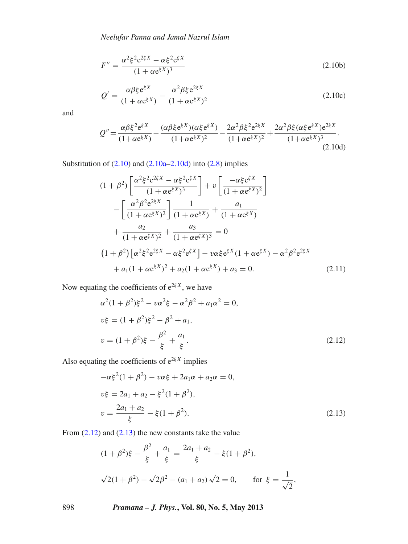*Neelufar Panna and Jamal Nazrul Islam*

$$
F'' = \frac{\alpha^2 \xi^2 e^{2\xi X} - \alpha \xi^2 e^{\xi X}}{(1 + \alpha e^{\xi X})^3}
$$
(2.10b)

$$
Q' = \frac{\alpha \beta \xi e^{\xi X}}{(1 + \alpha e^{\xi X})} - \frac{\alpha^2 \beta \xi e^{2\xi X}}{(1 + \alpha e^{\xi X})^2}
$$
(2.10c)

and

<span id="page-3-0"></span>
$$
Q'' = \frac{\alpha \beta \xi^2 e^{\xi X}}{(1 + \alpha e^{\xi X})} - \frac{(\alpha \beta \xi e^{\xi X})(\alpha \xi e^{\xi X})}{(1 + \alpha e^{\xi X})^2} - \frac{2\alpha^2 \beta \xi^2 e^{2\xi X}}{(1 + \alpha e^{\xi X})^2} + \frac{2\alpha^2 \beta \xi (\alpha \xi e^{\xi X}) e^{2\xi X}}{(1 + \alpha e^{\xi X})^3}.
$$
\n(2.10d)

Substitution of  $(2.10)$  and  $(2.10a-2.10d)$  $(2.10a-2.10d)$  into  $(2.8)$  implies

$$
(1 + \beta^2) \left[ \frac{\alpha^2 \xi^2 e^{2\xi X} - \alpha \xi^2 e^{\xi X}}{(1 + \alpha e^{\xi X})^3} \right] + v \left[ \frac{-\alpha \xi e^{\xi X}}{(1 + \alpha e^{\xi X})^2} \right]
$$
  

$$
- \left[ \frac{\alpha^2 \beta^2 e^{2\xi X}}{(1 + \alpha e^{\xi X})^2} \right] \frac{1}{(1 + \alpha e^{\xi X})} + \frac{a_1}{(1 + \alpha e^{\xi X})}
$$
  

$$
+ \frac{a_2}{(1 + \alpha e^{\xi X})^2} + \frac{a_3}{(1 + \alpha e^{\xi X})^3} = 0
$$
  

$$
(1 + \beta^2) \left[ \alpha^2 \xi^2 e^{2\xi X} - \alpha \xi^2 e^{\xi X} \right] - v \alpha \xi e^{\xi X} (1 + \alpha e^{\xi X}) - \alpha^2 \beta^2 e^{2\xi X}
$$
  

$$
+ a_1 (1 + \alpha e^{\xi X})^2 + a_2 (1 + \alpha e^{\xi X}) + a_3 = 0.
$$
 (2.11)

<span id="page-3-1"></span>Now equating the coefficients of  $e^{2\xi X}$ , we have

<span id="page-3-3"></span>
$$
\alpha^{2}(1+\beta^{2})\xi^{2} - v\alpha^{2}\xi - \alpha^{2}\beta^{2} + a_{1}\alpha^{2} = 0,
$$
  
\n
$$
v\xi = (1+\beta^{2})\xi^{2} - \beta^{2} + a_{1},
$$
  
\n
$$
v = (1+\beta^{2})\xi - \frac{\beta^{2}}{\xi} + \frac{a_{1}}{\xi}.
$$
\n(2.12)

<span id="page-3-2"></span>Also equating the coefficients of  $e^{2\xi X}$  implies

$$
-\alpha \xi^{2} (1 + \beta^{2}) - v \alpha \xi + 2a_{1} \alpha + a_{2} \alpha = 0,
$$
  
\n
$$
v\xi = 2a_{1} + a_{2} - \xi^{2} (1 + \beta^{2}),
$$
  
\n
$$
v = \frac{2a_{1} + a_{2}}{\xi} - \xi (1 + \beta^{2}).
$$
\n(2.13)

From [\(2.12\)](#page-3-1) and [\(2.13\)](#page-3-2) the new constants take the value

$$
(1 + \beta^2)\xi - \frac{\beta^2}{\xi} + \frac{a_1}{\xi} = \frac{2a_1 + a_2}{\xi} - \xi(1 + \beta^2),
$$
  

$$
\sqrt{2}(1 + \beta^2) - \sqrt{2}\beta^2 - (a_1 + a_2)\sqrt{2} = 0, \quad \text{for } \xi = \frac{1}{\sqrt{2}},
$$

898 *Pramana – J. Phys.***, Vol. 80, No. 5, May 2013**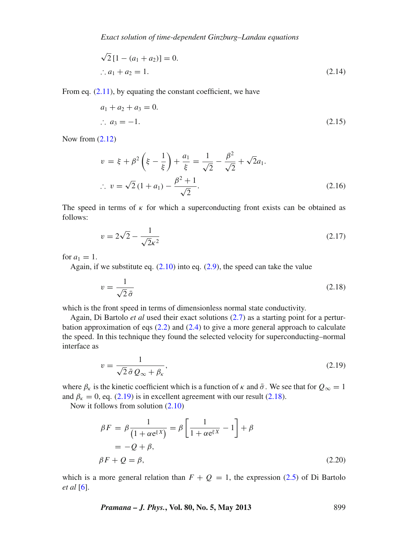$$
\sqrt{2}[1 - (a_1 + a_2)] = 0.
$$
  
\n
$$
\therefore a_1 + a_2 = 1.
$$
\n(2.14)

From eq.  $(2.11)$ , by equating the constant coefficient, we have

$$
a_1 + a_2 + a_3 = 0.
$$
  
\n $\therefore a_3 = -1.$  (2.15)

Now from [\(2.12\)](#page-3-1)

$$
v = \xi + \beta^2 \left(\xi - \frac{1}{\xi}\right) + \frac{a_1}{\xi} = \frac{1}{\sqrt{2}} - \frac{\beta^2}{\sqrt{2}} + \sqrt{2}a_1.
$$
  
 
$$
\therefore v = \sqrt{2}(1 + a_1) - \frac{\beta^2 + 1}{\sqrt{2}}.
$$
 (2.16)

The speed in terms of  $\kappa$  for which a superconducting front exists can be obtained as follows:

<span id="page-4-3"></span>
$$
v = 2\sqrt{2} - \frac{1}{\sqrt{2}\kappa^2} \tag{2.17}
$$

for  $a_1 = 1$ .

Again, if we substitute eq.  $(2.10)$  into eq.  $(2.9)$ , the speed can take the value

<span id="page-4-1"></span>
$$
v = \frac{1}{\sqrt{2}\,\bar{\sigma}}\tag{2.18}
$$

which is the front speed in terms of dimensionless normal state conductivity.

Again, Di Bartolo *et al* used their exact solutions [\(2.7\)](#page-2-6) as a starting point for a perturbation approximation of eqs [\(2.2\)](#page-1-2) and [\(2.4\)](#page-2-1) to give a more general approach to calculate the speed. In this technique they found the selected velocity for superconducting–normal interface as

<span id="page-4-0"></span>
$$
v = \frac{1}{\sqrt{2}\,\bar{\sigma}\,Q_{\infty} + \beta_{\kappa}},\tag{2.19}
$$

where  $\beta_{\kappa}$  is the kinetic coefficient which is a function of  $\kappa$  and  $\bar{\sigma}$ . We see that for  $Q_{\infty} = 1$ and  $\beta_{\kappa} = 0$ , eq. [\(2.19\)](#page-4-0) is in excellent agreement with our result [\(2.18\)](#page-4-1).

Now it follows from solution [\(2.10\)](#page-2-4)

<span id="page-4-2"></span>
$$
\beta F = \beta \frac{1}{(1 + \alpha e^{\xi X})} = \beta \left[ \frac{1}{1 + \alpha e^{\xi X}} - 1 \right] + \beta
$$
  
= -Q + \beta,  

$$
\beta F + Q = \beta,
$$
 (2.20)

which is a more general relation than  $F + Q = 1$ , the expression [\(2.5\)](#page-2-7) of Di Bartolo *et al* [\[6](#page-6-5)].

*Pramana – J. Phys.***, Vol. 80, No. 5, May 2013** 899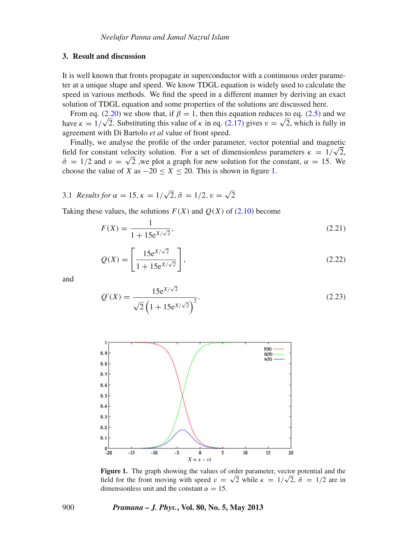## <span id="page-5-0"></span>**3. Result and discussion**

It is well known that fronts propagate in superconductor with a continuous order parameter at a unique shape and speed. We know TDGL equation is widely used to calculate the speed in various methods. We find the speed in a different manner by deriving an exact solution of TDGL equation and some properties of the solutions are discussed here.

From eq. [\(2.20\)](#page-4-2) we show that, if  $\beta = 1$ , then this equation reduces to eq. [\(2.5\)](#page-2-7) and we From eq. (2.20) we snow that, if  $p = 1$ , then this equation reduces to eq. (2.5) and we have  $\kappa = 1/\sqrt{2}$ . Substituting this value of  $\kappa$  in eq. [\(2.17\)](#page-4-3) gives  $v = \sqrt{2}$ , which is fully in agreement with Di Bartolo *et al* value of front speed.

Finally, we analyse the profile of the order parameter, vector potential and magnetic Finally, we analyse the profile of the order parameter, vector potential and magnetic field for constant velocity solution. For a set of dimensionless parameters  $\kappa = 1/\sqrt{2}$ ,  $\bar{\sigma} = 1/2$  and  $v = \sqrt{2}$ , we plot a graph for new solution for the constant,  $\alpha = 15$ . We choose the value of *X* as  $-20 \le X \le 20$ . This is shown in figure [1.](#page-5-1)

3.1 *Results for*  $\alpha = 15$ ,  $\kappa = 1/\sqrt{2}$ ,  $\bar{\sigma} = 1/2$ ,  $v = \sqrt{2}$ 

Taking these values, the solutions  $F(X)$  and  $O(X)$  of [\(2.10\)](#page-2-4) become

$$
F(X) = \frac{1}{1 + 15e^{X/\sqrt{2}}},
$$
\n(2.21)

$$
Q(X) = \left[\frac{15e^{X/\sqrt{2}}}{1 + 15e^{X/\sqrt{2}}}\right],
$$
\n(2.22)

and

$$
Q'(X) = \frac{15e^{X/\sqrt{2}}}{\sqrt{2}\left(1 + 15e^{X/\sqrt{2}}\right)^2}.
$$
\n(2.23)

<span id="page-5-1"></span>

**Figure 1.** The graph showing the values of order parameter, vector potential and the **Figure 1.** The graph showing the values of order parameter, vector potential and the field for the front moving with speed  $v = \sqrt{2}$  while  $\kappa = 1/\sqrt{2}$ ,  $\bar{\sigma} = 1/2$  are in dimensionless unit and the constant  $\alpha = 15$ .